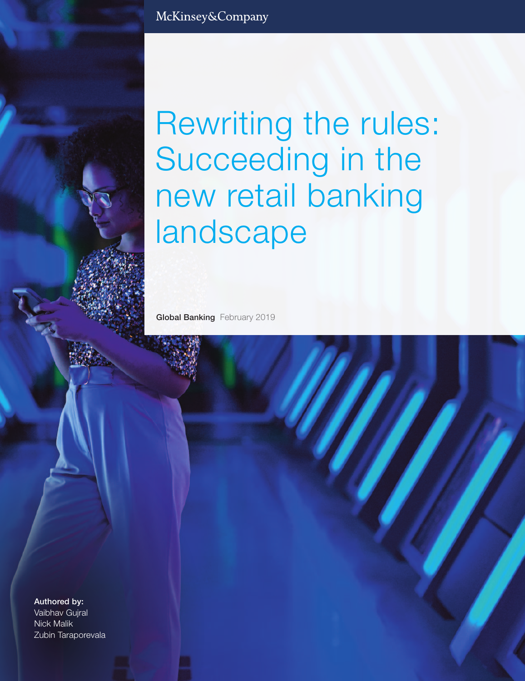Rewriting the rules: Succeeding in the new retail banking landscape

**Global Banking** February 2019

**Authored by:**  Vaibhav Gujral Nick Malik Zubin Taraporevala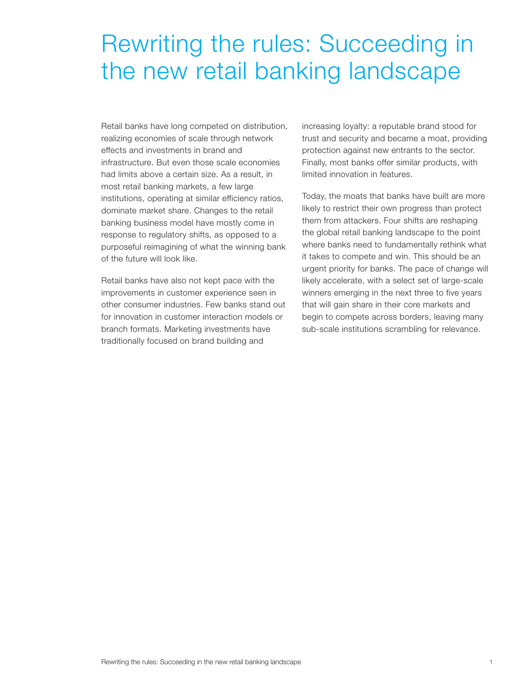## Rewriting the rules: Succeeding in the new retail banking landscape

Retail banks have long competed on distribution, realizing economies of scale through network effects and investments in brand and infrastructure. But even those scale economies had limits above a certain size. As a result, in most retail banking markets, a few large institutions, operating at similar efficiency ratios, dominate market share. Changes to the retail banking business model have mostly come in response to regulatory shifts, as opposed to a purposeful reimagining of what the winning bank of the future will look like.

Retail banks have also not kept pace with the improvements in customer experience seen in other consumer industries. Few banks stand out for innovation in customer interaction models or branch formats. Marketing investments have traditionally focused on brand building and

increasing loyalty: a reputable brand stood for trust and security and became a moat, providing protection against new entrants to the sector. Finally, most banks offer similar products, with limited innovation in features.

Today, the moats that banks have built are more likely to restrict their own progress than protect them from attackers. Four shifts are reshaping the global retail banking landscape to the point where banks need to fundamentally rethink what it takes to compete and win. This should be an urgent priority for banks. The pace of change will likely accelerate, with a select set of large-scale winners emerging in the next three to five years that will gain share in their core markets and begin to compete across borders, leaving many sub-scale institutions scrambling for relevance.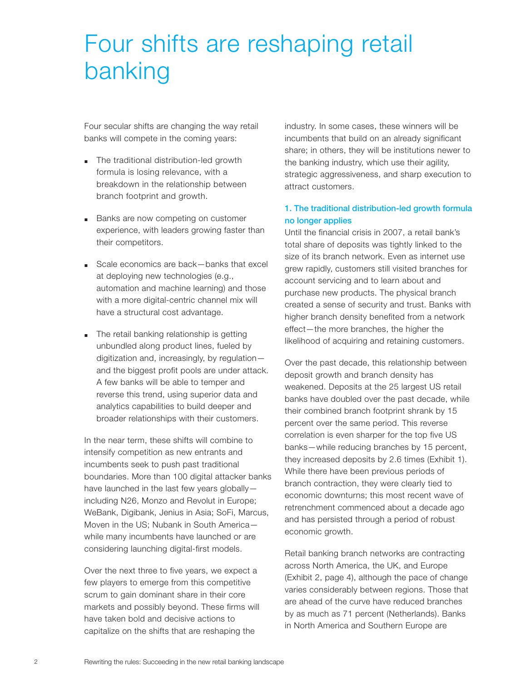# Four shifts are reshaping retail banking

Four secular shifts are changing the way retail banks will compete in the coming years:

- The traditional distribution-led growth formula is losing relevance, with a breakdown in the relationship between branch footprint and growth.
- Banks are now competing on customer experience, with leaders growing faster than their competitors.
- Scale economics are back-banks that excel at deploying new technologies (e.g., automation and machine learning) and those with a more digital-centric channel mix will have a structural cost advantage.
- The retail banking relationship is getting unbundled along product lines, fueled by digitization and, increasingly, by regulation and the biggest profit pools are under attack. A few banks will be able to temper and reverse this trend, using superior data and analytics capabilities to build deeper and broader relationships with their customers.

In the near term, these shifts will combine to intensify competition as new entrants and incumbents seek to push past traditional boundaries. More than 100 digital attacker banks have launched in the last few years globally including N26, Monzo and Revolut in Europe; WeBank, Digibank, Jenius in Asia; SoFi, Marcus, Moven in the US; Nubank in South America while many incumbents have launched or are considering launching digital-first models.

Over the next three to five years, we expect a few players to emerge from this competitive scrum to gain dominant share in their core markets and possibly beyond. These firms will have taken bold and decisive actions to capitalize on the shifts that are reshaping the

industry. In some cases, these winners will be incumbents that build on an already significant share; in others, they will be institutions newer to the banking industry, which use their agility, strategic aggressiveness, and sharp execution to attract customers.

## **1. The traditional distribution-led growth formula no longer applies**

Until the financial crisis in 2007, a retail bank's total share of deposits was tightly linked to the size of its branch network. Even as internet use grew rapidly, customers still visited branches for account servicing and to learn about and purchase new products. The physical branch created a sense of security and trust. Banks with higher branch density benefited from a network effect—the more branches, the higher the likelihood of acquiring and retaining customers.

Over the past decade, this relationship between deposit growth and branch density has weakened. Deposits at the 25 largest US retail banks have doubled over the past decade, while their combined branch footprint shrank by 15 percent over the same period. This reverse correlation is even sharper for the top five US banks—while reducing branches by 15 percent, they increased deposits by 2.6 times (Exhibit 1). While there have been previous periods of branch contraction, they were clearly tied to economic downturns; this most recent wave of retrenchment commenced about a decade ago and has persisted through a period of robust economic growth.

Retail banking branch networks are contracting across North America, the UK, and Europe (Exhibit 2, page 4), although the pace of change varies considerably between regions. Those that are ahead of the curve have reduced branches by as much as 71 percent (Netherlands). Banks in North America and Southern Europe are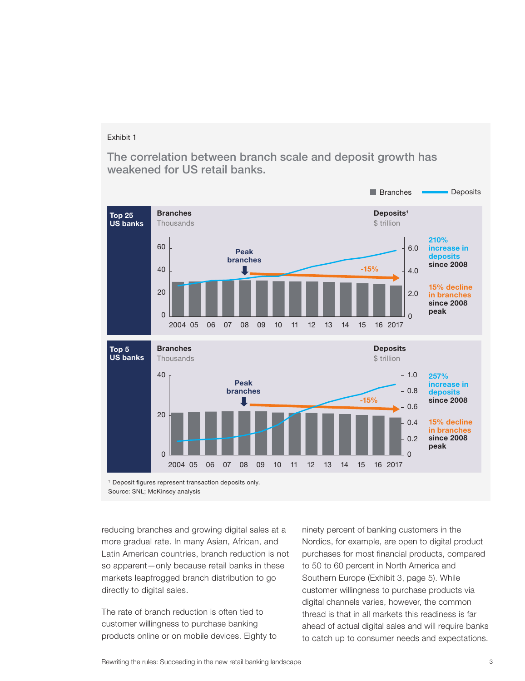The correlation between branch scale and deposit growth has weakened for US retail banks.



Source: SNL; McKinsey analysis

reducing branches and growing digital sales at a more gradual rate. In many Asian, African, and Latin American countries, branch reduction is not so apparent—only because retail banks in these markets leapfrogged branch distribution to go directly to digital sales.

The rate of branch reduction is often tied to customer willingness to purchase banking products online or on mobile devices. Eighty to

ninety percent of banking customers in the Nordics, for example, are open to digital product purchases for most financial products, compared to 50 to 60 percent in North America and Southern Europe (Exhibit 3, page 5). While customer willingness to purchase products via digital channels varies, however, the common thread is that in all markets this readiness is far ahead of actual digital sales and will require banks to catch up to consumer needs and expectations.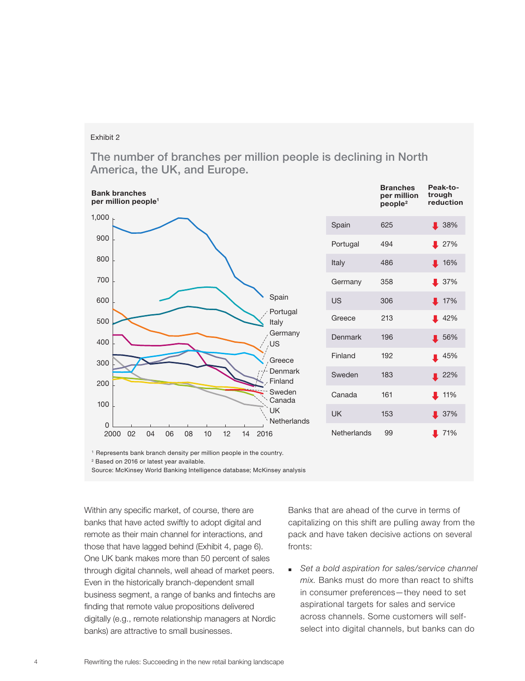The number of branches per million people is declining in North America, the UK, and Europe.



1 Represents bank branch density per million people in the country.

2 Based on 2016 or latest year available.

Within any specific market, of course, there are banks that have acted swiftly to adopt digital and remote as their main channel for interactions, and those that have lagged behind (Exhibit 4, page 6). One UK bank makes more than 50 percent of sales through digital channels, well ahead of market peers. Even in the historically branch-dependent small business segment, a range of banks and fintechs are finding that remote value propositions delivered digitally (e.g., remote relationship managers at Nordic banks) are attractive to small businesses.

Banks that are ahead of the curve in terms of capitalizing on this shift are pulling away from the pack and have taken decisive actions on several fronts:

■ Set a bold aspiration for sales/service channel mix. Banks must do more than react to shifts in consumer preferences—they need to set aspirational targets for sales and service across channels. Some customers will selfselect into digital channels, but banks can do

Source: McKinsey World Banking Intelligence database; McKinsey analysis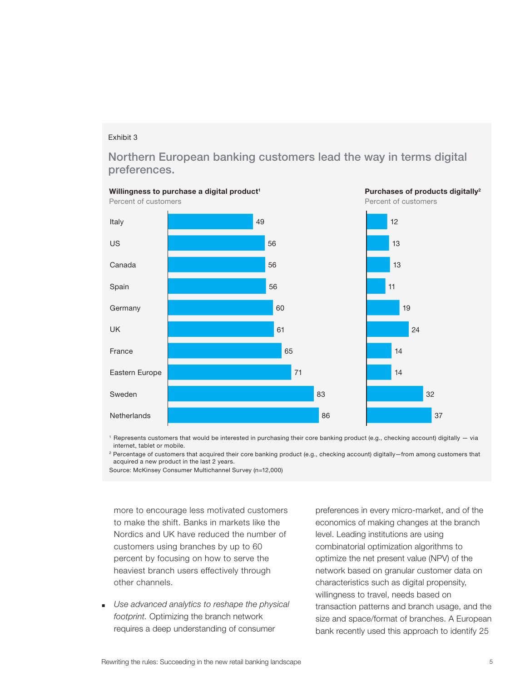Northern European banking customers lead the way in terms digital preferences.



1 Represents customers that would be interested in purchasing their core banking product (e.g., checking account) digitally — via internet, tablet or mobile.

2 Percentage of customers that acquired their core banking product (e.g., checking account) digitally—from among customers that acquired a new product in the last 2 years.

Source: McKinsey Consumer Multichannel Survey (n=12,000)

more to encourage less motivated customers to make the shift. Banks in markets like the Nordics and UK have reduced the number of customers using branches by up to 60 percent by focusing on how to serve the heaviest branch users effectively through other channels.

■ Use advanced analytics to reshape the physical footprint. Optimizing the branch network requires a deep understanding of consumer

preferences in every micro-market, and of the economics of making changes at the branch level. Leading institutions are using combinatorial optimization algorithms to optimize the net present value (NPV) of the network based on granular customer data on characteristics such as digital propensity, willingness to travel, needs based on transaction patterns and branch usage, and the size and space/format of branches. A European bank recently used this approach to identify 25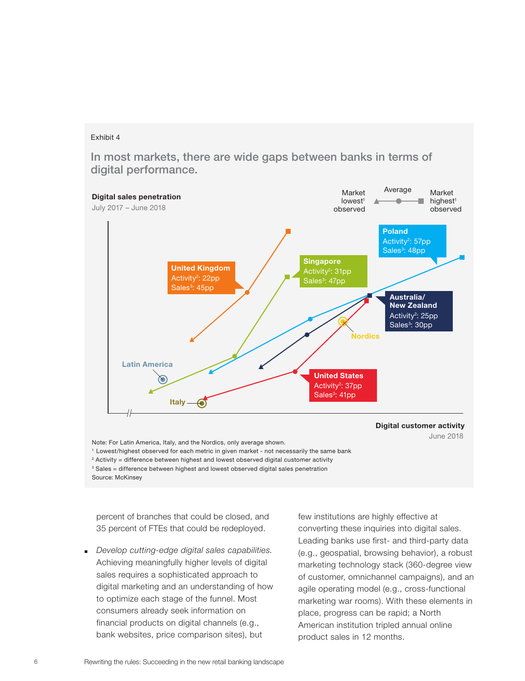In most markets, there are wide gaps between banks in terms of digital performance.



2 Activity = difference between highest and lowest observed digital customer activity

 $3$  Sales = difference between highest and lowest observed digital sales penetration

Source: McKinsey

percent of branches that could be closed, and 35 percent of FTEs that could be redeployed.

■ Develop cutting-edge digital sales capabilities. Achieving meaningfully higher levels of digital sales requires a sophisticated approach to digital marketing and an understanding of how to optimize each stage of the funnel. Most consumers already seek information on financial products on digital channels (e.g., bank websites, price comparison sites), but

few institutions are highly effective at converting these inquiries into digital sales. Leading banks use first- and third-party data (e.g., geospatial, browsing behavior), a robust marketing technology stack (360-degree view of customer, omnichannel campaigns), and an agile operating model (e.g., cross-functional marketing war rooms). With these elements in place, progress can be rapid; a North American institution tripled annual online product sales in 12 months.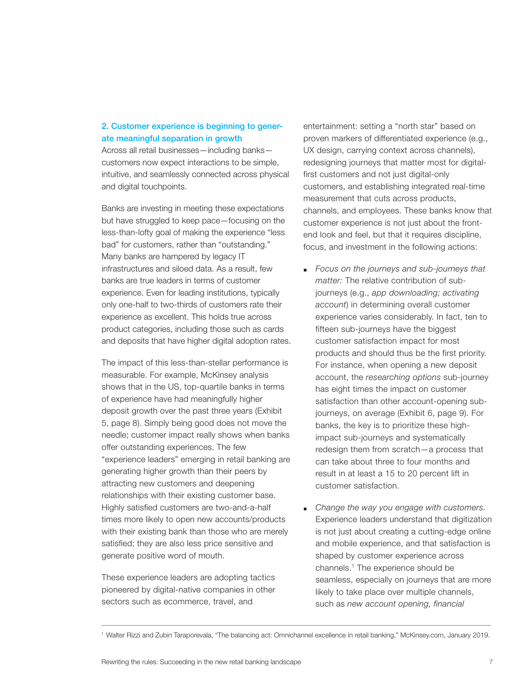## **2. Customer experience is beginning to generate meaningful separation in growth**

Across all retail businesses—including banks customers now expect interactions to be simple, intuitive, and seamlessly connected across physical and digital touchpoints.

Banks are investing in meeting these expectations but have struggled to keep pace—focusing on the less-than-lofty goal of making the experience "less bad" for customers, rather than "outstanding." Many banks are hampered by legacy IT infrastructures and siloed data. As a result, few banks are true leaders in terms of customer experience. Even for leading institutions, typically only one-half to two-thirds of customers rate their experience as excellent. This holds true across product categories, including those such as cards and deposits that have higher digital adoption rates.

The impact of this less-than-stellar performance is measurable. For example, McKinsey analysis shows that in the US, top-quartile banks in terms of experience have had meaningfully higher deposit growth over the past three years (Exhibit 5, page 8). Simply being good does not move the needle; customer impact really shows when banks offer outstanding experiences. The few "experience leaders" emerging in retail banking are generating higher growth than their peers by attracting new customers and deepening relationships with their existing customer base. Highly satisfied customers are two-and-a-half times more likely to open new accounts/products with their existing bank than those who are merely satisfied; they are also less price sensitive and generate positive word of mouth.

These experience leaders are adopting tactics pioneered by digital-native companies in other sectors such as ecommerce, travel, and

entertainment: setting a "north star" based on proven markers of differentiated experience (e.g., UX design, carrying context across channels), redesigning journeys that matter most for digitalfirst customers and not just digital-only customers, and establishing integrated real-time measurement that cuts across products, channels, and employees. These banks know that customer experience is not just about the frontend look and feel, but that it requires discipline, focus, and investment in the following actions:

- Focus on the journeys and sub-journeys that matter: The relative contribution of subjourneys (e.g., app downloading; activating account) in determining overall customer experience varies considerably. In fact, ten to fifteen sub-journeys have the biggest customer satisfaction impact for most products and should thus be the first priority. For instance, when opening a new deposit account, the researching options sub-journey has eight times the impact on customer satisfaction than other account-opening subjourneys, on average (Exhibit 6, page 9). For banks, the key is to prioritize these highimpact sub-journeys and systematically redesign them from scratch—a process that can take about three to four months and result in at least a 15 to 20 percent lift in customer satisfaction.
- Change the way you engage with customers. Experience leaders understand that digitization is not just about creating a cutting-edge online and mobile experience, and that satisfaction is shaped by customer experience across channels.1 The experience should be seamless, especially on journeys that are more likely to take place over multiple channels, such as new account opening, financial

<sup>1</sup> Walter Rizzi and Zubin Taraporevala, "The balancing act: Omnichannel excellence in retail banking," McKinsey.com, January 2019.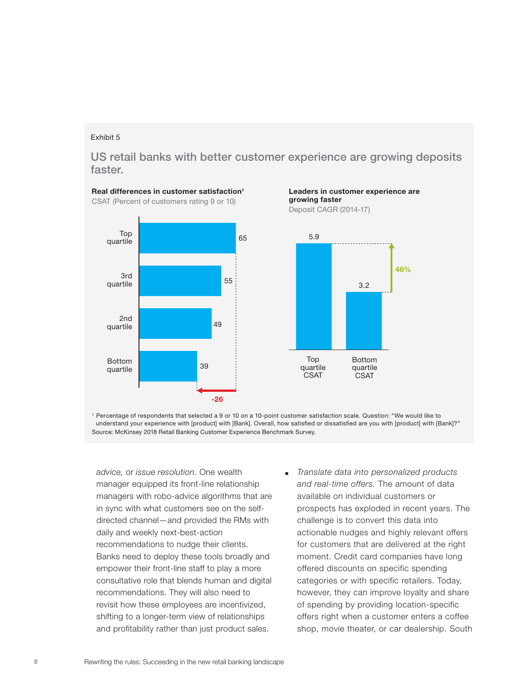US retail banks with better customer experience are growing deposits faster.



Leaders in customer experience are growing faster

Deposit CAGR (2014-17)



1 Percentage of respondents that selected a 9 or 10 on a 10-point customer satisfaction scale. Question: "We would like to understand your experience with [product] with [Bank]. Overall, how satisfied or dissatisfied are you with [product] with [Bank]?" Source: McKinsey 2018 Retail Banking Customer Experience Benchmark Survey.

advice, or issue resolution. One wealth manager equipped its front-line relationship managers with robo-advice algorithms that are in sync with what customers see on the selfdirected channel—and provided the RMs with daily and weekly next-best-action recommendations to nudge their clients. Banks need to deploy these tools broadly and empower their front-line staff to play a more consultative role that blends human and digital recommendations. They will also need to revisit how these employees are incentivized, shifting to a longer-term view of relationships and profitability rather than just product sales.

*■* Translate data into personalized products and real-time offers. The amount of data available on individual customers or prospects has exploded in recent years. The challenge is to convert this data into actionable nudges and highly relevant offers for customers that are delivered at the right moment. Credit card companies have long offered discounts on specific spending categories or with specific retailers. Today, however, they can improve loyalty and share of spending by providing location-specific offers right when a customer enters a coffee shop, movie theater, or car dealership. South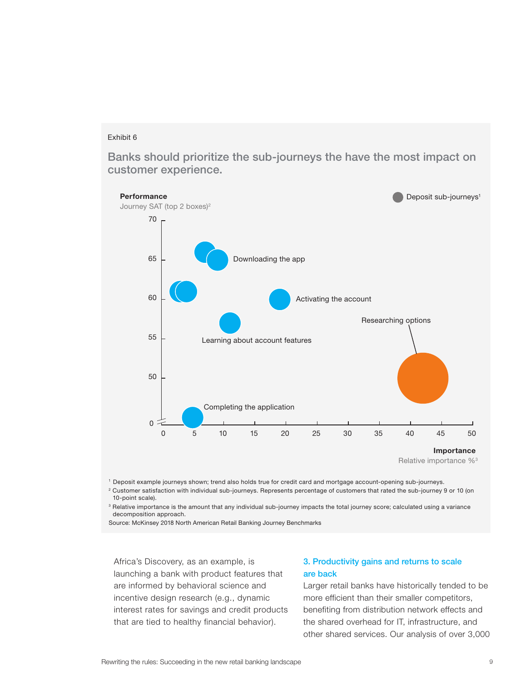Banks should prioritize the sub-journeys the have the most impact on customer experience.



Relative importance %3

1 Deposit example journeys shown; trend also holds true for credit card and mortgage account-opening sub-journeys.

2 Customer satisfaction with individual sub-journeys. Represents percentage of customers that rated the sub-journey 9 or 10 (on 10-point scale).

<sup>3</sup> Relative importance is the amount that any individual sub-journey impacts the total journey score; calculated using a variance decomposition approach.

Source: McKinsey 2018 North American Retail Banking Journey Benchmarks

Africa's Discovery, as an example, is launching a bank with product features that are informed by behavioral science and incentive design research (e.g., dynamic interest rates for savings and credit products that are tied to healthy financial behavior).

### **3. Productivity gains and returns to scale are back**

Larger retail banks have historically tended to be more efficient than their smaller competitors, benefiting from distribution network effects and the shared overhead for IT, infrastructure, and other shared services. Our analysis of over 3,000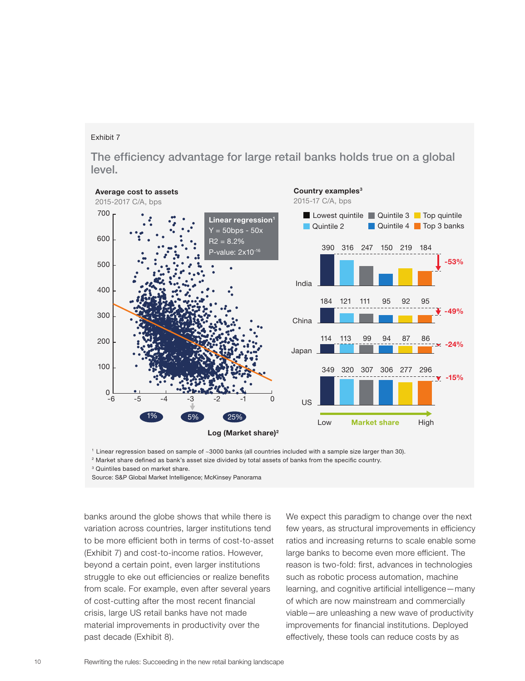The efficiency advantage for large retail banks holds true on a global level.



1 Linear regression based on sample of ~3000 banks (all countries included with a sample size larger than 30).

2 Market share defined as bank's asset size divided by total assets of banks from the specific country.

<sup>3</sup> Quintiles based on market share.

Source: S&P Global Market Intelligence; McKinsey Panorama

banks around the globe shows that while there is variation across countries, larger institutions tend to be more efficient both in terms of cost-to-asset (Exhibit 7) and cost-to-income ratios. However, beyond a certain point, even larger institutions struggle to eke out efficiencies or realize benefits from scale. For example, even after several years of cost-cutting after the most recent financial crisis, large US retail banks have not made material improvements in productivity over the past decade (Exhibit 8).

We expect this paradigm to change over the next few years, as structural improvements in efficiency ratios and increasing returns to scale enable some large banks to become even more efficient. The reason is two-fold: first, advances in technologies such as robotic process automation, machine learning, and cognitive artificial intelligence—many of which are now mainstream and commercially viable—are unleashing a new wave of productivity improvements for financial institutions. Deployed effectively, these tools can reduce costs by as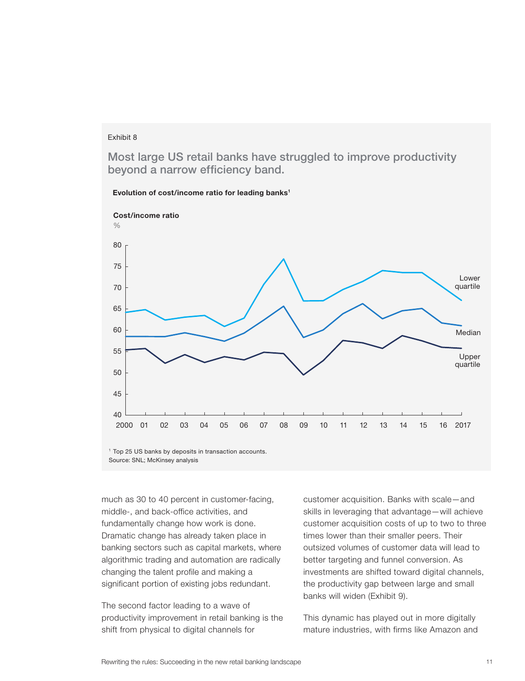Most large US retail banks have struggled to improve productivity beyond a narrow efficiency band.



Evolution of cost/income ratio for leading banks<sup>1</sup>

Source: SNL; McKinsey analysis

much as 30 to 40 percent in customer-facing, middle-, and back-office activities, and fundamentally change how work is done. Dramatic change has already taken place in banking sectors such as capital markets, where algorithmic trading and automation are radically changing the talent profile and making a significant portion of existing jobs redundant.

The second factor leading to a wave of productivity improvement in retail banking is the shift from physical to digital channels for

customer acquisition. Banks with scale—and skills in leveraging that advantage—will achieve customer acquisition costs of up to two to three times lower than their smaller peers. Their outsized volumes of customer data will lead to better targeting and funnel conversion. As investments are shifted toward digital channels, the productivity gap between large and small banks will widen (Exhibit 9).

This dynamic has played out in more digitally mature industries, with firms like Amazon and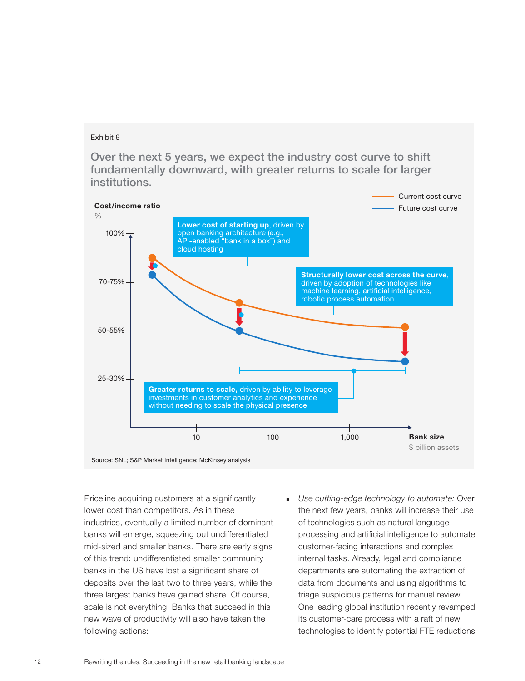Over the next 5 years, we expect the industry cost curve to shift fundamentally downward, with greater returns to scale for larger institutions.



Priceline acquiring customers at a significantly lower cost than competitors. As in these industries, eventually a limited number of dominant banks will emerge, squeezing out undifferentiated mid-sized and smaller banks. There are early signs of this trend: undifferentiated smaller community banks in the US have lost a significant share of deposits over the last two to three years, while the three largest banks have gained share. Of course, scale is not everything. Banks that succeed in this new wave of productivity will also have taken the following actions:

Use cutting-edge technology to automate: Over the next few years, banks will increase their use of technologies such as natural language processing and artificial intelligence to automate customer-facing interactions and complex internal tasks. Already, legal and compliance departments are automating the extraction of data from documents and using algorithms to triage suspicious patterns for manual review. One leading global institution recently revamped its customer-care process with a raft of new technologies to identify potential FTE reductions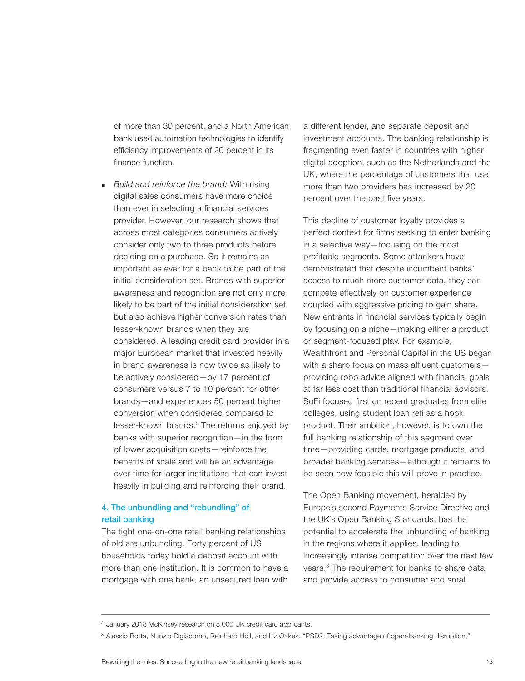of more than 30 percent, and a North American bank used automation technologies to identify efficiency improvements of 20 percent in its finance function.

■ Build and reinforce the brand: With rising digital sales consumers have more choice than ever in selecting a financial services provider. However, our research shows that across most categories consumers actively consider only two to three products before deciding on a purchase. So it remains as important as ever for a bank to be part of the initial consideration set. Brands with superior awareness and recognition are not only more likely to be part of the initial consideration set but also achieve higher conversion rates than lesser-known brands when they are considered. A leading credit card provider in a major European market that invested heavily in brand awareness is now twice as likely to be actively considered—by 17 percent of consumers versus 7 to 10 percent for other brands—and experiences 50 percent higher conversion when considered compared to lesser-known brands.<sup>2</sup> The returns enjoyed by banks with superior recognition—in the form of lower acquisition costs—reinforce the benefits of scale and will be an advantage over time for larger institutions that can invest heavily in building and reinforcing their brand.

### **4. The unbundling and "rebundling" of retail banking**

The tight one-on-one retail banking relationships of old are unbundling. Forty percent of US households today hold a deposit account with more than one institution. It is common to have a mortgage with one bank, an unsecured loan with a different lender, and separate deposit and investment accounts. The banking relationship is fragmenting even faster in countries with higher digital adoption, such as the Netherlands and the UK, where the percentage of customers that use more than two providers has increased by 20 percent over the past five years.

This decline of customer loyalty provides a perfect context for firms seeking to enter banking in a selective way—focusing on the most profitable segments. Some attackers have demonstrated that despite incumbent banks' access to much more customer data, they can compete effectively on customer experience coupled with aggressive pricing to gain share. New entrants in financial services typically begin by focusing on a niche—making either a product or segment-focused play. For example, Wealthfront and Personal Capital in the US began with a sharp focus on mass affluent customers providing robo advice aligned with financial goals at far less cost than traditional financial advisors. SoFi focused first on recent graduates from elite colleges, using student loan refi as a hook product. Their ambition, however, is to own the full banking relationship of this segment over time—providing cards, mortgage products, and broader banking services—although it remains to be seen how feasible this will prove in practice.

The Open Banking movement, heralded by Europe's second Payments Service Directive and the UK's Open Banking Standards, has the potential to accelerate the unbundling of banking in the regions where it applies, leading to increasingly intense competition over the next few years.3 The requirement for banks to share data and provide access to consumer and small

<sup>&</sup>lt;sup>2</sup> January 2018 McKinsey research on 8,000 UK credit card applicants.

<sup>3</sup> Alessio Botta, Nunzio Digiacomo, Reinhard Höll, and Liz Oakes, "PSD2: Taking advantage of open-banking disruption,"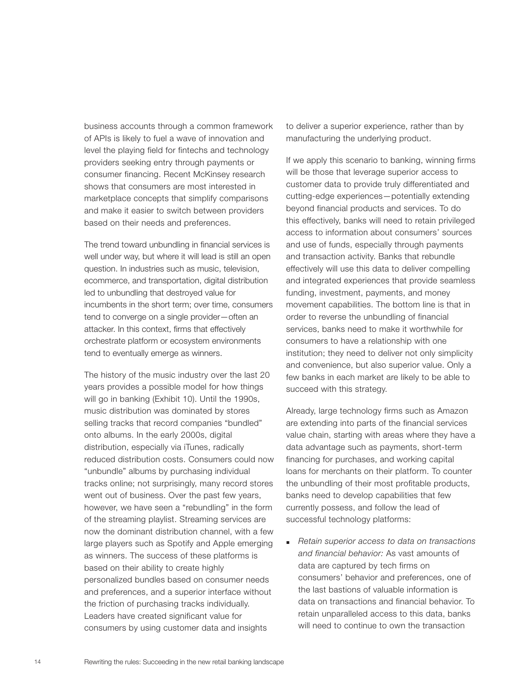business accounts through a common framework of APIs is likely to fuel a wave of innovation and level the playing field for fintechs and technology providers seeking entry through payments or consumer financing. Recent McKinsey research shows that consumers are most interested in marketplace concepts that simplify comparisons and make it easier to switch between providers based on their needs and preferences.

The trend toward unbundling in financial services is well under way, but where it will lead is still an open question. In industries such as music, television, ecommerce, and transportation, digital distribution led to unbundling that destroyed value for incumbents in the short term; over time, consumers tend to converge on a single provider—often an attacker. In this context, firms that effectively orchestrate platform or ecosystem environments tend to eventually emerge as winners.

The history of the music industry over the last 20 years provides a possible model for how things will go in banking (Exhibit 10). Until the 1990s, music distribution was dominated by stores selling tracks that record companies "bundled" onto albums. In the early 2000s, digital distribution, especially via iTunes, radically reduced distribution costs. Consumers could now "unbundle" albums by purchasing individual tracks online; not surprisingly, many record stores went out of business. Over the past few years, however, we have seen a "rebundling" in the form of the streaming playlist. Streaming services are now the dominant distribution channel, with a few large players such as Spotify and Apple emerging as winners. The success of these platforms is based on their ability to create highly personalized bundles based on consumer needs and preferences, and a superior interface without the friction of purchasing tracks individually. Leaders have created significant value for consumers by using customer data and insights

to deliver a superior experience, rather than by manufacturing the underlying product.

If we apply this scenario to banking, winning firms will be those that leverage superior access to customer data to provide truly differentiated and cutting-edge experiences—potentially extending beyond financial products and services. To do this effectively, banks will need to retain privileged access to information about consumers' sources and use of funds, especially through payments and transaction activity. Banks that rebundle effectively will use this data to deliver compelling and integrated experiences that provide seamless funding, investment, payments, and money movement capabilities. The bottom line is that in order to reverse the unbundling of financial services, banks need to make it worthwhile for consumers to have a relationship with one institution; they need to deliver not only simplicity and convenience, but also superior value. Only a few banks in each market are likely to be able to succeed with this strategy.

Already, large technology firms such as Amazon are extending into parts of the financial services value chain, starting with areas where they have a data advantage such as payments, short-term financing for purchases, and working capital loans for merchants on their platform. To counter the unbundling of their most profitable products, banks need to develop capabilities that few currently possess, and follow the lead of successful technology platforms:

■ Retain superior access to data on transactions and financial behavior: As vast amounts of data are captured by tech firms on consumers' behavior and preferences, one of the last bastions of valuable information is data on transactions and financial behavior. To retain unparalleled access to this data, banks will need to continue to own the transaction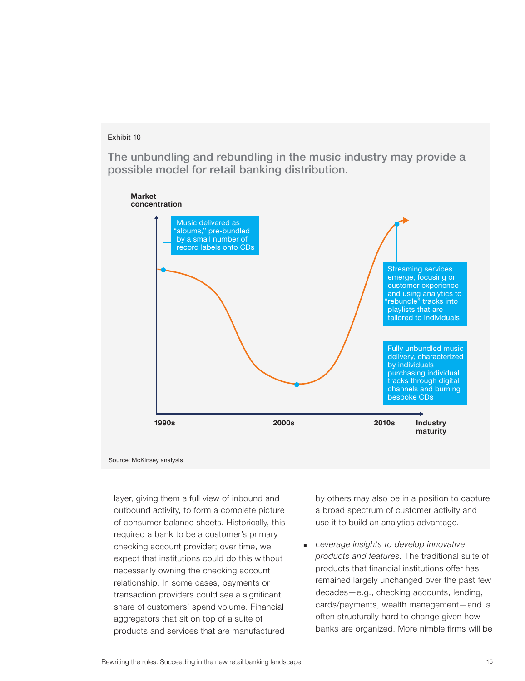The unbundling and rebundling in the music industry may provide a possible model for retail banking distribution.



Source: McKinsey analysis

layer, giving them a full view of inbound and outbound activity, to form a complete picture of consumer balance sheets. Historically, this required a bank to be a customer's primary checking account provider; over time, we expect that institutions could do this without necessarily owning the checking account relationship. In some cases, payments or transaction providers could see a significant share of customers' spend volume. Financial aggregators that sit on top of a suite of products and services that are manufactured

by others may also be in a position to capture a broad spectrum of customer activity and use it to build an analytics advantage.

Leverage insights to develop innovative products and features: The traditional suite of products that financial institutions offer has remained largely unchanged over the past few decades—e.g., checking accounts, lending, cards/payments, wealth management—and is often structurally hard to change given how banks are organized. More nimble firms will be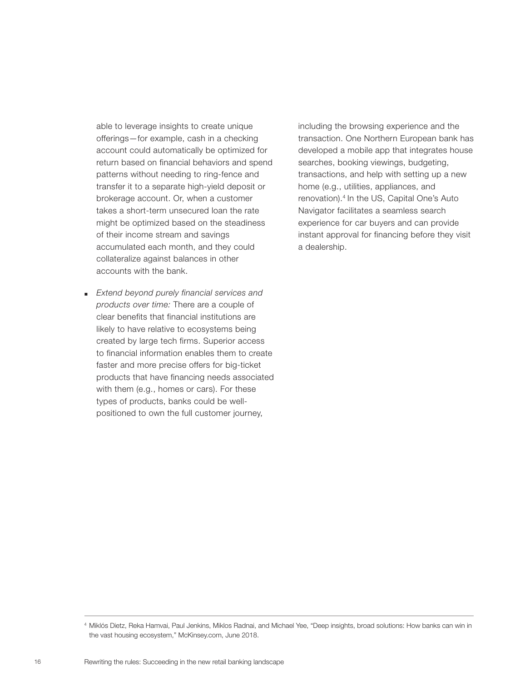able to leverage insights to create unique offerings—for example, cash in a checking account could automatically be optimized for return based on financial behaviors and spend patterns without needing to ring-fence and transfer it to a separate high-yield deposit or brokerage account. Or, when a customer takes a short-term unsecured loan the rate might be optimized based on the steadiness of their income stream and savings accumulated each month, and they could collateralize against balances in other accounts with the bank.

■ Extend beyond purely financial services and products over time: There are a couple of clear benefits that financial institutions are likely to have relative to ecosystems being created by large tech firms. Superior access to financial information enables them to create faster and more precise offers for big-ticket products that have financing needs associated with them (e.g., homes or cars). For these types of products, banks could be wellpositioned to own the full customer journey,

including the browsing experience and the transaction. One Northern European bank has developed a mobile app that integrates house searches, booking viewings, budgeting, transactions, and help with setting up a new home (e.g., utilities, appliances, and renovation).4 In the US, Capital One's Auto Navigator facilitates a seamless search experience for car buyers and can provide instant approval for financing before they visit a dealership.

<sup>4</sup> Miklós Dietz, Reka Hamvai, Paul Jenkins, Miklos Radnai, and Michael Yee, "Deep insights, broad solutions: How banks can win in the vast housing ecosystem," McKinsey.com, June 2018.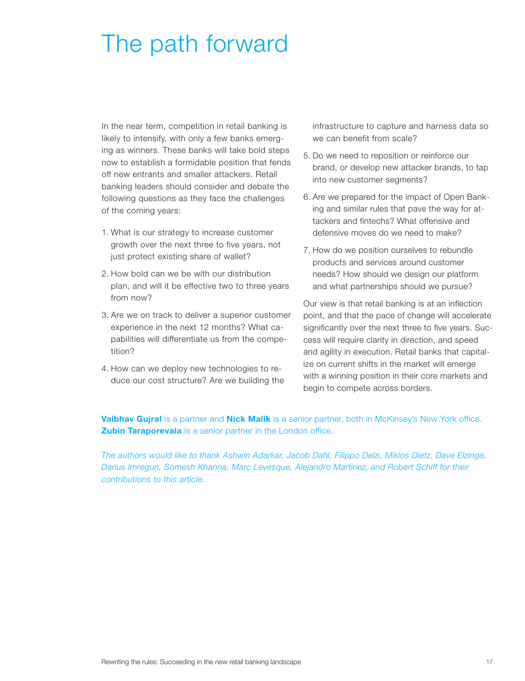## The path forward

In the near term, competition in retail banking is likely to intensify, with only a few banks emerging as winners. These banks will take bold steps now to establish a formidable position that fends off new entrants and smaller attackers. Retail banking leaders should consider and debate the following questions as they face the challenges of the coming years:

- 1. What is our strategy to increase customer growth over the next three to five years, not just protect existing share of wallet?
- 2. How bold can we be with our distribution plan, and will it be effective two to three years from now?
- 3. Are we on track to deliver a superior customer experience in the next 12 months? What capabilities will differentiate us from the competition?
- 4. How can we deploy new technologies to reduce our cost structure? Are we building the

infrastructure to capture and harness data so we can benefit from scale?

- 5. Do we need to reposition or reinforce our brand, or develop new attacker brands, to tap into new customer segments?
- 6. Are we prepared for the impact of Open Banking and similar rules that pave the way for attackers and fintechs? What offensive and defensive moves do we need to make?
- 7. How do we position ourselves to rebundle products and services around customer needs? How should we design our platform and what partnerships should we pursue?

Our view is that retail banking is at an inflection point, and that the pace of change will accelerate significantly over the next three to five years. Success will require clarity in direction, and speed and agility in execution. Retail banks that capitalize on current shifts in the market will emerge with a winning position in their core markets and begin to compete across borders.

Vaibhav Gujral is a partner and Nick Malik is a senior partner, both in McKinsey's New York office. **Zubin Taraporevala** is a senior partner in the London office.

The authors would like to thank Ashwin Adarkar, Jacob Dahl, Filippo Delzi, Miklos Dietz, Dave Elzinga, Darius Imregun, Somesh Khanna, Marc Levesque, Alejandro Martinez, and Robert Schiff for their contributions to this article.